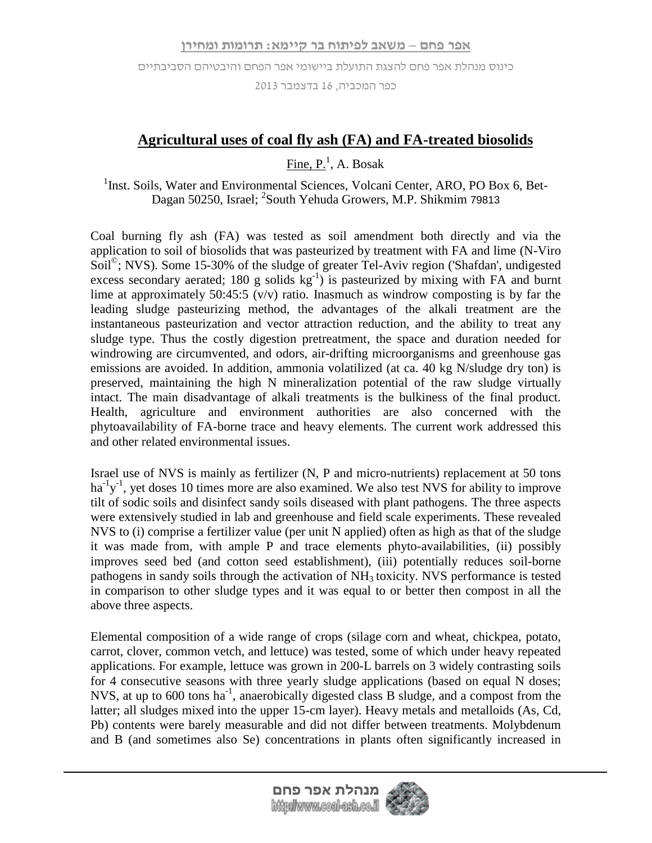כפר המכביה, 61 בדצמבר 3162

## **Agricultural uses of coal fly ash (FA) and FA-treated biosolids**

 $\overline{\text{Fine}}, \text{P.}^1$ , A. Bosak

<sup>1</sup>Inst. Soils, Water and Environmental Sciences, Volcani Center, ARO, PO Box 6, Bet-Dagan 50250, Israel; <sup>2</sup>South Yehuda Growers, M.P. Shikmim 79813

Coal burning fly ash (FA) was tested as soil amendment both directly and via the application to soil of biosolids that was pasteurized by treatment with FA and lime (N-Viro Soil<sup>©</sup>; NVS). Some 15-30% of the sludge of greater Tel-Aviv region ('Shafdan', undigested excess secondary aerated; 180 g solids  $kg^{-1}$ ) is pasteurized by mixing with FA and burnt lime at approximately 50:45:5  $\overline{(v/v)}$  ratio. Inasmuch as windrow composting is by far the leading sludge pasteurizing method, the advantages of the alkali treatment are the instantaneous pasteurization and vector attraction reduction, and the ability to treat any sludge type. Thus the costly digestion pretreatment, the space and duration needed for windrowing are circumvented, and odors, air-drifting microorganisms and greenhouse gas emissions are avoided. In addition, ammonia volatilized (at ca. 40 kg N/sludge dry ton) is preserved, maintaining the high N mineralization potential of the raw sludge virtually intact. The main disadvantage of alkali treatments is the bulkiness of the final product. Health, agriculture and environment authorities are also concerned with the phytoavailability of FA-borne trace and heavy elements. The current work addressed this and other related environmental issues.

Israel use of NVS is mainly as fertilizer (N, P and micro-nutrients) replacement at 50 tons ha<sup>-1</sup>y<sup>-1</sup>, yet doses 10 times more are also examined. We also test NVS for ability to improve tilt of sodic soils and disinfect sandy soils diseased with plant pathogens. The three aspects were extensively studied in lab and greenhouse and field scale experiments. These revealed NVS to (i) comprise a fertilizer value (per unit N applied) often as high as that of the sludge it was made from, with ample P and trace elements phyto-availabilities, (ii) possibly improves seed bed (and cotton seed establishment), (iii) potentially reduces soil-borne pathogens in sandy soils through the activation of  $NH<sub>3</sub>$  toxicity. NVS performance is tested in comparison to other sludge types and it was equal to or better then compost in all the above three aspects.

Elemental composition of a wide range of crops (silage corn and wheat, chickpea, potato, carrot, clover, common vetch, and lettuce) was tested, some of which under heavy repeated applications. For example, lettuce was grown in 200-L barrels on 3 widely contrasting soils for 4 consecutive seasons with three yearly sludge applications (based on equal N doses; NVS, at up to 600 tons ha<sup>-1</sup>, anaerobically digested class B sludge, and a compost from the latter; all sludges mixed into the upper 15-cm layer). Heavy metals and metalloids (As, Cd, Pb) contents were barely measurable and did not differ between treatments. Molybdenum and B (and sometimes also Se) concentrations in plants often significantly increased in